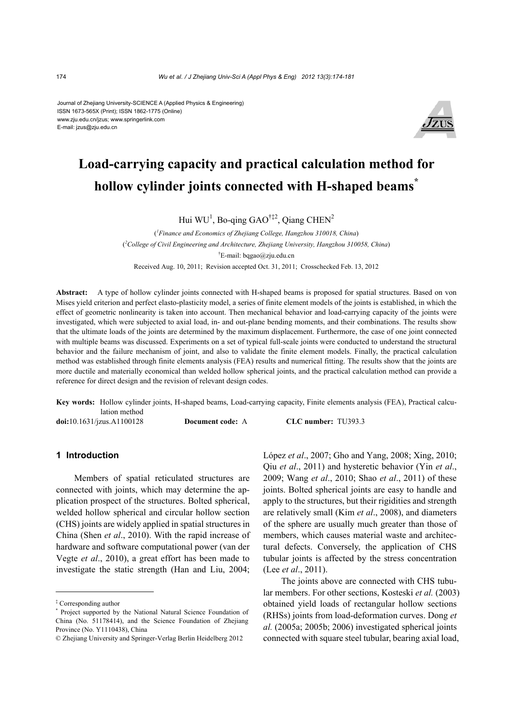#### Journal of Zhejiang University-SCIENCE A (Applied Physics & Engineering) ISSN 1673-565X (Print); ISSN 1862-1775 (Online) www.zju.edu.cn/jzus; www.springerlink.com E-mail: jzus@zju.edu.cn



# **Load-carrying capacity and practical calculation method for hollow cylinder joints connected with H-shaped beams\***

Hui  $WU<sup>1</sup>$ , Bo-qing GAO<sup>†‡2</sup>, Qiang CHEN<sup>2</sup>

( *1 Finance and Economics of Zhejiang College, Hangzhou 310018, China*) ( *2 College of Civil Engineering and Architecture, Zhejiang University, Hangzhou 310058, China*) † E-mail: bqgao@zju.edu.cn Received Aug. 10, 2011; Revision accepted Oct. 31, 2011; Crosschecked Feb. 13, 2012

**Abstract:** A type of hollow cylinder joints connected with H-shaped beams is proposed for spatial structures. Based on von Mises yield criterion and perfect elasto-plasticity model, a series of finite element models of the joints is established, in which the effect of geometric nonlinearity is taken into account. Then mechanical behavior and load-carrying capacity of the joints were investigated, which were subjected to axial load, in- and out-plane bending moments, and their combinations. The results show that the ultimate loads of the joints are determined by the maximum displacement. Furthermore, the case of one joint connected with multiple beams was discussed. Experiments on a set of typical full-scale joints were conducted to understand the structural behavior and the failure mechanism of joint, and also to validate the finite element models. Finally, the practical calculation method was established through finite elements analysis (FEA) results and numerical fitting. The results show that the joints are more ductile and materially economical than welded hollow spherical joints, and the practical calculation method can provide a reference for direct design and the revision of relevant design codes.

**Key words:** Hollow cylinder joints, H-shaped beams, Load-carrying capacity, Finite elements analysis (FEA), Practical calculation method **doi:**10.1631/jzus.A1100128 **Document code:** A **CLC number:** TU393.3

### **1 Introduction**

Members of spatial reticulated structures are connected with joints, which may determine the application prospect of the structures. Bolted spherical, welded hollow spherical and circular hollow section (CHS) joints are widely applied in spatial structures in China (Shen *et al*., 2010). With the rapid increase of hardware and software computational power (van der Vegte *et al*., 2010), a great effort has been made to investigate the static strength (Han and Liu, 2004; López *et al*., 2007; Gho and Yang, 2008; Xing, 2010; Qiu *et al*., 2011) and hysteretic behavior (Yin *et al*., 2009; Wang *et al*., 2010; Shao *et al*., 2011) of these joints. Bolted spherical joints are easy to handle and apply to the structures, but their rigidities and strength are relatively small (Kim *et al*., 2008), and diameters of the sphere are usually much greater than those of members, which causes material waste and architectural defects. Conversely, the application of CHS tubular joints is affected by the stress concentration (Lee *et al*., 2011).

The joints above are connected with CHS tubular members. For other sections, Kosteski *et al.* (2003) obtained yield loads of rectangular hollow sections (RHSs) joints from load-deformation curves. Dong *et al.* (2005a; 2005b; 2006) investigated spherical joints connected with square steel tubular, bearing axial load,

<sup>‡</sup> Corresponding author

<sup>\*</sup> Project supported by the National Natural Science Foundation of China (No. 51178414), and the Science Foundation of Zhejiang Province (No. Y1110438), China

<sup>©</sup> Zhejiang University and Springer-Verlag Berlin Heidelberg 2012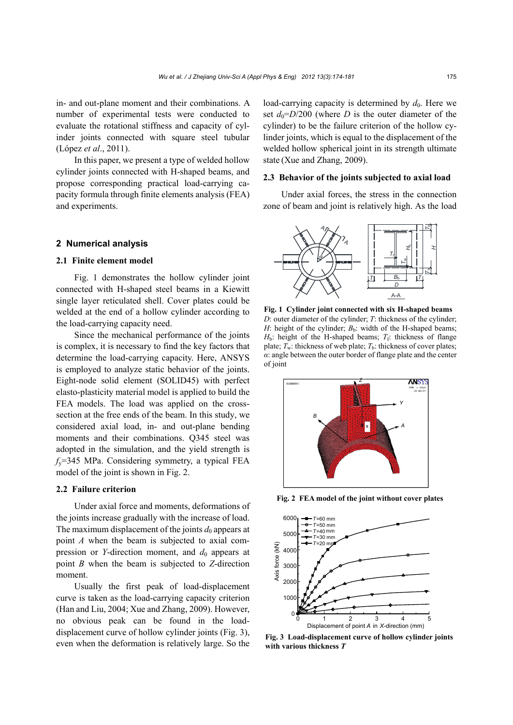in- and out-plane moment and their combinations. A number of experimental tests were conducted to evaluate the rotational stiffness and capacity of cylinder joints connected with square steel tubular (López *et al*., 2011).

In this paper, we present a type of welded hollow cylinder joints connected with H-shaped beams, and propose corresponding practical load-carrying capacity formula through finite elements analysis (FEA) and experiments.

### **2 Numerical analysis**

## **2.1 Finite element model**

Fig. 1 demonstrates the hollow cylinder joint connected with H-shaped steel beams in a Kiewitt single layer reticulated shell. Cover plates could be welded at the end of a hollow cylinder according to the load-carrying capacity need.

Since the mechanical performance of the joints is complex, it is necessary to find the key factors that determine the load-carrying capacity. Here, ANSYS is employed to analyze static behavior of the joints. Eight-node solid element (SOLID45) with perfect elasto-plasticity material model is applied to build the FEA models. The load was applied on the crosssection at the free ends of the beam. In this study, we considered axial load, in- and out-plane bending moments and their combinations. Q345 steel was adopted in the simulation, and the yield strength is *f*y=345 MPa. Considering symmetry, a typical FEA model of the joint is shown in Fig. 2.

#### **2.2 Failure criterion**

Under axial force and moments, deformations of the joints increase gradually with the increase of load. The maximum displacement of the joints  $d_0$  appears at point *A* when the beam is subjected to axial compression or *Y*-direction moment, and  $d_0$  appears at point *B* when the beam is subjected to *Z*-direction moment.

Usually the first peak of load-displacement curve is taken as the load-carrying capacity criterion (Han and Liu, 2004; Xue and Zhang, 2009). However, no obvious peak can be found in the loaddisplacement curve of hollow cylinder joints (Fig. 3), even when the deformation is relatively large. So the load-carrying capacity is determined by  $d_0$ . Here we set  $d_0 = D/200$  (where *D* is the outer diameter of the cylinder) to be the failure criterion of the hollow cylinder joints, which is equal to the displacement of the welded hollow spherical joint in its strength ultimate state (Xue and Zhang, 2009).

#### **2.3 Behavior of the joints subjected to axial load**

Under axial forces, the stress in the connection zone of beam and joint is relatively high. As the load



**Fig. 1 Cylinder joint connected with six H-shaped beams**  *D*: outer diameter of the cylinder; *T*: thickness of the cylinder; *H*: height of the cylinder;  $B_b$ : width of the H-shaped beams;  $H<sub>b</sub>$ : height of the H-shaped beams;  $T<sub>f</sub>$ : thickness of flange plate;  $T_w$ : thickness of web plate;  $T_b$ : thickness of cover plates; *α*: angle between the outer border of flange plate and the center of joint



**Fig. 2 FEA model of the joint without cover plates**



**Fig. 3 Load-displacement curve of hollow cylinder joints with various thickness** *T*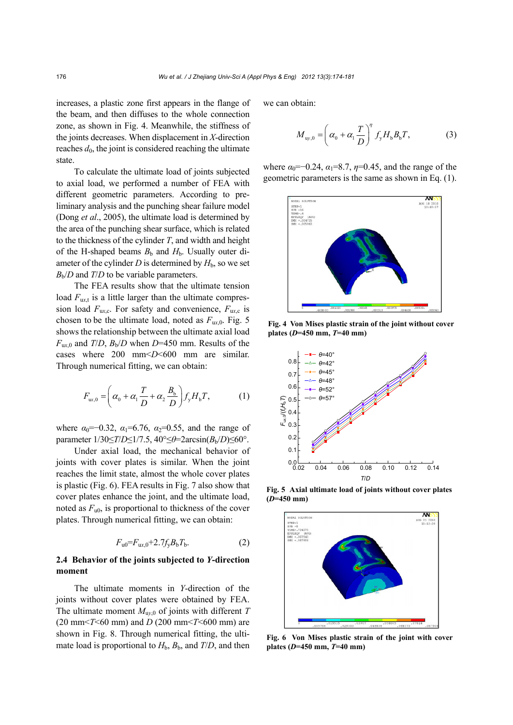increases, a plastic zone first appears in the flange of the beam, and then diffuses to the whole connection zone, as shown in Fig. 4. Meanwhile, the stiffness of the joints decreases. When displacement in *X*-direction reaches  $d_0$ , the joint is considered reaching the ultimate state.

To calculate the ultimate load of joints subjected to axial load, we performed a number of FEA with different geometric parameters. According to preliminary analysis and the punching shear failure model (Dong *et al*., 2005), the ultimate load is determined by the area of the punching shear surface, which is related to the thickness of the cylinder *T*, and width and height of the H-shaped beams  $B<sub>b</sub>$  and  $H<sub>b</sub>$ . Usually outer diameter of the cylinder *D* is determined by  $H<sub>b</sub>$ , so we set  $B<sub>b</sub>/D$  and *T*/*D* to be variable parameters.

The FEA results show that the ultimate tension load  $F<sub>urt</sub>$  is a little larger than the ultimate compression load  $F_{\text{ur},c}$ . For safety and convenience,  $F_{\text{ur},c}$  is chosen to be the ultimate load, noted as  $F_{\text{ux }0}$ . Fig. 5 shows the relationship between the ultimate axial load  $F_{\text{ux,0}}$  and *T*/*D*,  $B_b$ /*D* when *D*=450 mm. Results of the cases where 200 mm<*D*<600 mm are similar. Through numerical fitting, we can obtain:

$$
F_{\text{ux},0} = \left(\alpha_0 + \alpha_1 \frac{T}{D} + \alpha_2 \frac{B_b}{D}\right) f_y H_b T,\tag{1}
$$

where  $\alpha_0$ =−0.32,  $\alpha_1$ =6.76,  $\alpha_2$ =0.55, and the range of parameter 1/30≤*T*/*D*≤1/7.5, 40°≤*θ*=2arcsin(*B*b/*D*)≤60°.

Under axial load, the mechanical behavior of joints with cover plates is similar. When the joint reaches the limit state, almost the whole cover plates is plastic (Fig. 6). FEA results in Fig. 7 also show that cover plates enhance the joint, and the ultimate load, noted as  $F_{10}$ , is proportional to thickness of the cover plates. Through numerical fitting, we can obtain:

$$
F_{u0} = F_{ux,0} + 2.7f_y B_b T_b.
$$
 (2)

## **2.4 Behavior of the joints subjected to** *Y***-direction moment**

The ultimate moments in *Y*-direction of the joints without cover plates were obtained by FEA. The ultimate moment  $M_{\text{uv},0}$  of joints with different *T* (20 mm<*T*<60 mm) and *D* (200 mm<*T*<600 mm) are shown in Fig. 8. Through numerical fitting, the ultimate load is proportional to  $H<sub>b</sub>$ ,  $B<sub>b</sub>$ , and  $T/D$ , and then

we can obtain:

$$
M_{\text{uy},0} = \left(\alpha_0 + \alpha_1 \frac{T}{D}\right)^{\eta} f_y H_b B_b T,\tag{3}
$$

where  $\alpha_0 = -0.24$ ,  $\alpha_1 = 8.7$ ,  $\eta = 0.45$ , and the range of the geometric parameters is the same as shown in Eq. (1).



**Fig. 4 Von Mises plastic strain of the joint without cover plates (***D***=450 mm,** *T***=40 mm)**



**Fig. 5 Axial ultimate load of joints without cover plates (***D***=450 mm)**



**Fig. 6 Von Mises plastic strain of the joint with cover plates (***D***=450 mm,** *T***=40 mm)**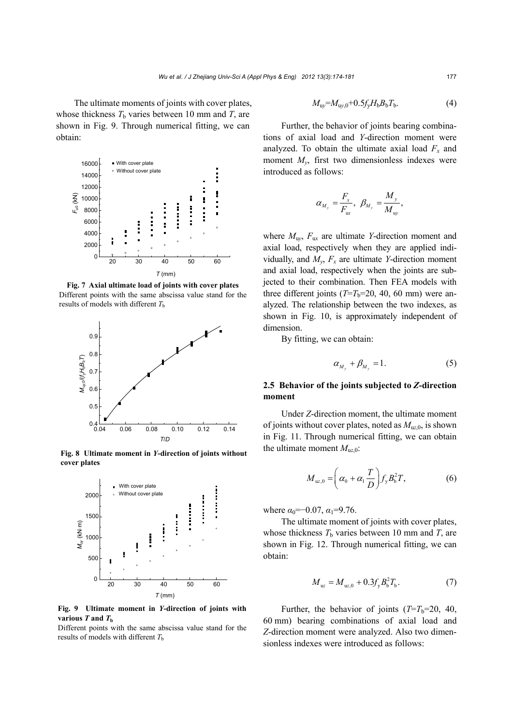The ultimate moments of joints with cover plates, whose thickness  $T<sub>b</sub>$  varies between 10 mm and  $T<sub>c</sub>$  are shown in Fig. 9. Through numerical fitting, we can obtain:



**Fig. 7 Axial ultimate load of joints with cover plates**  Different points with the same abscissa value stand for the results of models with different  $T<sub>b</sub>$ 



**Fig. 8 Ultimate moment in** *Y***-direction of joints without cover plates**



**Fig. 9 Ultimate moment in** *Y***-direction of joints with various**  $T$  and  $T<sub>b</sub>$ 

Different points with the same abscissa value stand for the results of models with different  $T<sub>b</sub>$ 

$$
M_{\rm uy} = M_{\rm uy,0} + 0.5 f_{\rm y} H_{\rm b} B_{\rm b} T_{\rm b}.
$$
 (4)

Further, the behavior of joints bearing combinations of axial load and *Y*-direction moment were analyzed. To obtain the ultimate axial load  $F_x$  and moment  $M_{\nu}$ , first two dimensionless indexes were introduced as follows:

$$
\alpha_{M_y} = \frac{F_x}{F_{ux}}, \ \beta_{M_y} = \frac{M_y}{M_{uy}},
$$

where  $M_{\text{uv}}$ ,  $F_{\text{uv}}$  are ultimate *Y*-direction moment and axial load, respectively when they are applied individually, and  $M_v$ ,  $F_x$  are ultimate *Y*-direction moment and axial load, respectively when the joints are subjected to their combination. Then FEA models with three different joints  $(T=T_b=20, 40, 60$  mm) were analyzed. The relationship between the two indexes, as shown in Fig. 10, is approximately independent of dimension.

By fitting, we can obtain:

$$
\alpha_{M_v} + \beta_{M_v} = 1. \tag{5}
$$

## **2.5 Behavior of the joints subjected to** *Z***-direction moment**

Under *Z*-direction moment, the ultimate moment of joints without cover plates, noted as  $M_{uz,0}$ , is shown in Fig. 11. Through numerical fitting, we can obtain the ultimate moment  $M_{uz,0}$ :

$$
M_{uz,0} = \left(\alpha_0 + \alpha_1 \frac{T}{D}\right) f_y B_b^2 T,\tag{6}
$$

where  $\alpha_0 = -0.07$ ,  $\alpha_1 = 9.76$ .

The ultimate moment of joints with cover plates, whose thickness  $T<sub>b</sub>$  varies between 10 mm and  $T<sub>c</sub>$  are shown in Fig. 12. Through numerical fitting, we can obtain:

$$
M_{uz} = M_{uz,0} + 0.3f_y B_b^2 T_b.
$$
 (7)

Further, the behavior of joints  $(T=T_b=20, 40,$ 60 mm) bearing combinations of axial load and *Z*-direction moment were analyzed. Also two dimensionless indexes were introduced as follows: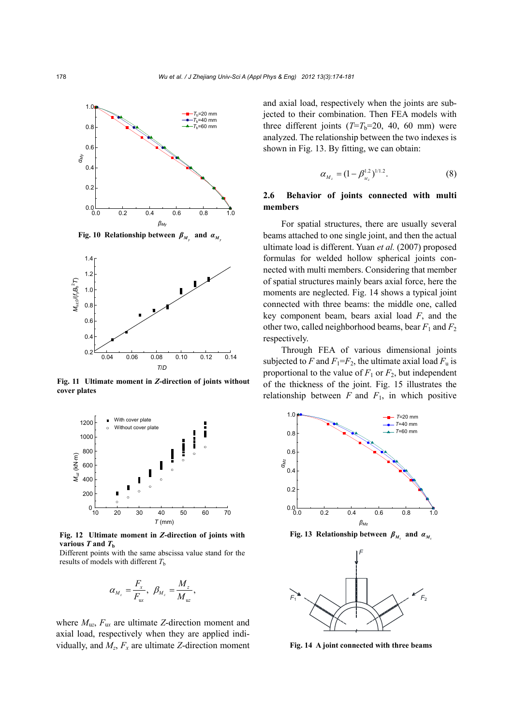

**Fig. 10 Relationship between**  $\beta_{M}$  **and**  $\alpha_{M}$ 



**Fig. 11 Ultimate moment in** *Z***-direction of joints without cover plates**



**Fig. 12 Ultimate moment in** *Z***-direction of joints with various**  $T$  and  $T<sub>b</sub>$ 

Different points with the same abscissa value stand for the results of models with different  $T<sub>b</sub>$ 

$$
\alpha_{M_z} = \frac{F_x}{F_{\rm ux}}, \ \beta_{M_z} = \frac{M_z}{M_{\rm ux}},
$$

where  $M_{uz}$ ,  $F_{ux}$  are ultimate *Z*-direction moment and axial load, respectively when they are applied individually, and  $M_z$ ,  $F_x$  are ultimate *Z*-direction moment

and axial load, respectively when the joints are subjected to their combination. Then FEA models with three different joints  $(T=T_b=20, 40, 60$  mm) were analyzed. The relationship between the two indexes is shown in Fig. 13. By fitting, we can obtain:

$$
\alpha_{M_z} = (1 - \beta_{_{M_z}}^{1.2})^{1/1.2}.
$$
 (8)

## **2.6 Behavior of joints connected with multi members**

For spatial structures, there are usually several beams attached to one single joint, and then the actual ultimate load is different. Yuan *et al.* (2007) proposed formulas for welded hollow spherical joints connected with multi members. Considering that member of spatial structures mainly bears axial force, here the moments are neglected. Fig. 14 shows a typical joint connected with three beams: the middle one, called key component beam, bears axial load *F*, and the other two, called neighborhood beams, bear  $F_1$  and  $F_2$ respectively.

Through FEA of various dimensional joints subjected to *F* and  $F_1 = F_2$ , the ultimate axial load  $F_u$  is proportional to the value of  $F_1$  or  $F_2$ , but independent of the thickness of the joint. Fig. 15 illustrates the relationship between *F* and *F*1, in which positive



**Fig. 13 Relationship between**  $\beta_M$  **and**  $\alpha_M$ 



**Fig. 14 A joint connected with three beams**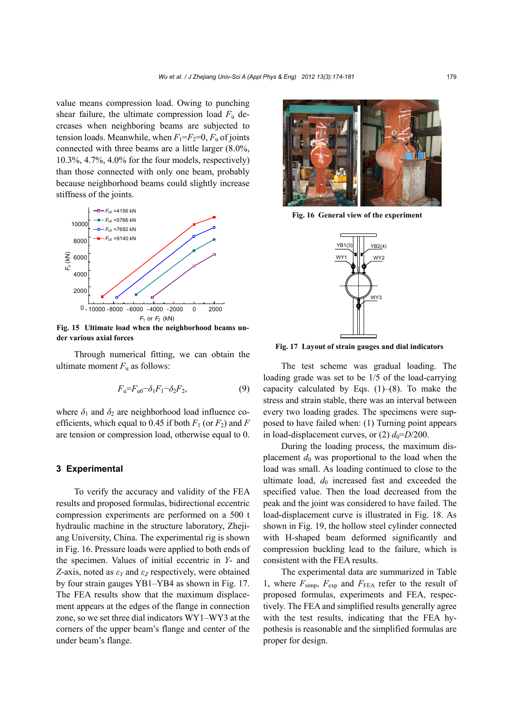value means compression load. Owing to punching shear failure, the ultimate compression load  $F_u$  decreases when neighboring beams are subjected to tension loads. Meanwhile, when  $F_1 = F_2 = 0$ ,  $F_u$  of joints connected with three beams are a little larger (8.0%, 10.3%, 4.7%, 4.0% for the four models, respectively) than those connected with only one beam, probably because neighborhood beams could slightly increase stiffness of the joints.



**Fig. 15 Ultimate load when the neighborhood beams under various axial forces** 

 Through numerical fitting, we can obtain the ultimate moment  $F_u$  as follows:

$$
F_{\rm u} = F_{\rm u0} - \delta_1 F_1 - \delta_2 F_2,\tag{9}
$$

where  $\delta_1$  and  $\delta_2$  are neighborhood load influence coefficients, which equal to 0.45 if both  $F_1$  (or  $F_2$ ) and  $F_1$ are tension or compression load, otherwise equal to 0.

#### **3 Experimental**

To verify the accuracy and validity of the FEA results and proposed formulas, bidirectional eccentric compression experiments are performed on a 500 t hydraulic machine in the structure laboratory, Zhejiang University, China. The experimental rig is shown in Fig. 16. Pressure loads were applied to both ends of the specimen. Values of initial eccentric in *Y*- and *Z*-axis, noted as *εY* and *εZ* respectively, were obtained by four strain gauges YB1–YB4 as shown in Fig. 17. The FEA results show that the maximum displacement appears at the edges of the flange in connection zone, so we set three dial indicators WY1–WY3 at the corners of the upper beam's flange and center of the under beam's flange.



**Fig. 16 General view of the experiment**



**Fig. 17 Layout of strain gauges and dial indicators**

The test scheme was gradual loading. The loading grade was set to be 1/5 of the load-carrying capacity calculated by Eqs.  $(1)$ – $(8)$ . To make the stress and strain stable, there was an interval between every two loading grades. The specimens were supposed to have failed when: (1) Turning point appears in load-displacement curves, or  $(2)$   $d_0 = D/200$ .

During the loading process, the maximum displacement  $d_0$  was proportional to the load when the load was small. As loading continued to close to the ultimate load,  $d_0$  increased fast and exceeded the specified value. Then the load decreased from the peak and the joint was considered to have failed. The load-displacement curve is illustrated in Fig. 18. As shown in Fig. 19, the hollow steel cylinder connected with H-shaped beam deformed significantly and compression buckling lead to the failure, which is consistent with the FEA results.

The experimental data are summarized in Table 1, where  $F_{\text{simp}}$ ,  $F_{\text{exp}}$  and  $F_{\text{FEA}}$  refer to the result of proposed formulas, experiments and FEA, respectively. The FEA and simplified results generally agree with the test results, indicating that the FEA hypothesis is reasonable and the simplified formulas are proper for design.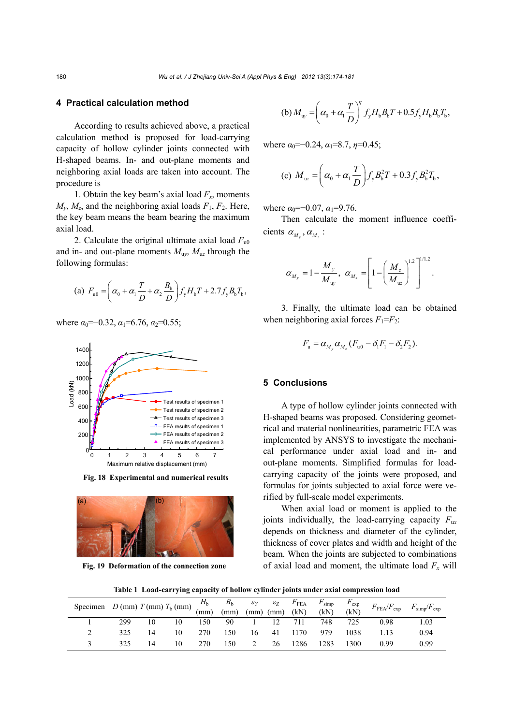## **4 Practical calculation method**

According to results achieved above, a practical calculation method is proposed for load-carrying capacity of hollow cylinder joints connected with H-shaped beams. In- and out-plane moments and neighboring axial loads are taken into account. The procedure is

1. Obtain the key beam's axial load  $F_x$ , moments  $M<sub>y</sub>, M<sub>z</sub>$ , and the neighboring axial loads  $F<sub>1</sub>, F<sub>2</sub>$ . Here, the key beam means the beam bearing the maximum axial load.

2. Calculate the original ultimate axial load  $F_{u0}$ and in- and out-plane moments  $M_{\text{uv}}$ ,  $M_{\text{uz}}$  through the following formulas:

(a) 
$$
F_{u0} = \left(\alpha_0 + \alpha_1 \frac{T}{D} + \alpha_2 \frac{B_b}{D}\right) f_y H_b T + 2.7 f_y B_b T_b
$$
,

where  $\alpha_0 = -0.32$ ,  $\alpha_1 = 6.76$ ,  $\alpha_2 = 0.55$ ;



**Fig. 18 Experimental and numerical results**



**Fig. 19 Deformation of the connection zone**

(b) 
$$
M_{\text{up}} = \left(\alpha_0 + \alpha_1 \frac{T}{D}\right)^{\eta} f_y H_b B_b T + 0.5 f_y H_b B_b T_b,
$$

where  $\alpha_0 = -0.24$ ,  $\alpha_1 = 8.7$ ,  $\eta = 0.45$ ;

(c) 
$$
M_w = \left(\alpha_0 + \alpha_1 \frac{T}{D}\right) f_y B_b^2 T + 0.3 f_y B_b^2 T_b
$$
,

where  $\alpha_0 = -0.07$ ,  $\alpha_1 = 9.76$ .

Then calculate the moment influence coefficients  $\alpha_{M}$ ,  $\alpha_{M}$ :

$$
\alpha_{M_y} = 1 - \frac{M_y}{M_{\rm{up}}}, \ \alpha_{M_z} = \left[1 - \left(\frac{M_z}{M_{\rm{us}}}\right)^{1.2}\right]^{1/1.2}.
$$

3. Finally, the ultimate load can be obtained when neighboring axial forces  $F_1 = F_2$ .

$$
F_{\rm u} = \alpha_{M_{\rm y}} \alpha_{M_{\rm z}} (F_{\rm u0} - \delta_{\rm 1} F_{\rm 1} - \delta_{\rm 2} F_{\rm 2}).
$$

## **5 Conclusions**

A type of hollow cylinder joints connected with H-shaped beams was proposed. Considering geometrical and material nonlinearities, parametric FEA was implemented by ANSYS to investigate the mechanical performance under axial load and in- and out-plane moments. Simplified formulas for loadcarrying capacity of the joints were proposed, and formulas for joints subjected to axial force were verified by full-scale model experiments.

When axial load or moment is applied to the joints individually, the load-carrying capacity *F*u*<sup>x</sup>* depends on thickness and diameter of the cylinder, thickness of cover plates and width and height of the beam. When the joints are subjected to combinations of axial load and moment, the ultimate load  $F_x$  will

**Table 1 Load-carrying capacity of hollow cylinder joints under axial compression load**

| Specimen $D$ (mm) $T$ (mm) $T_b$ (mm) $\frac{H_b}{m}$ $\frac{B_b}{m}$ $\frac{\varepsilon_Y}{m}$ $\frac{\varepsilon_Z}{m}$ $\frac{F_{\text{FEA}}}{m}$ $\frac{F_{\text{simp}}}{m}$ |     |    |     |     |    |                 |      |      | $F_{\rm exp}$<br>(kN) | $F_{\rm FEA}/F_{\rm exp}$ $F_{\rm simp}/F_{\rm exp}$ |      |
|----------------------------------------------------------------------------------------------------------------------------------------------------------------------------------|-----|----|-----|-----|----|-----------------|------|------|-----------------------|------------------------------------------------------|------|
|                                                                                                                                                                                  | 299 | 10 | 150 | 90  |    | 12 <sup>7</sup> | 711  | 748  | 725                   | 0.98                                                 | 1.03 |
|                                                                                                                                                                                  | 325 | 10 | 270 | 150 | 16 | 41              | 1170 | 979  | 1038                  |                                                      | 0.94 |
|                                                                                                                                                                                  |     | 10 | 270 | 150 |    | 26              | 1286 | 1283 | 1300                  | 0.99                                                 | 0.99 |